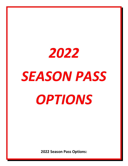# *2022 SEASON PASS OPTIONS*

**2022 Season Pass Options:**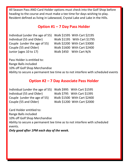All Season Pass AND Card Holder options must check into the Golf Shop before heading to the course and must make a tee time for days wishing to play. Resident defined as living in Lakewood, Crystal Lake and Lake in the Hills.

### **Option #1 – 7 Day Pass Holder**

Individual (under the age of 55) Walk \$1595 With Cart \$2195 Individual (55 and Older) Walk \$1195 With Cart \$1795 Couple (under the age of 55) Walk \$2200 With Cart \$3000 Couple (55 and Older) Walk \$1600 With Cart \$2400 Junior (ages 10 to 17) Walk \$450 With Cart N/A

Pass Holder is entitled to: Range Balls included 10% off Golf Shop Merchandise Ability to secure a permanent tee time as to not interfere with scheduled events

# **Option #2 – 7 Day Associate Pass Holder**

Individual (under the age of 55) Walk \$995 With Cart \$1595 Individual (55 and Older) Walk \$795 With Cart \$1395 Couple (under the age of 55) Walk \$1500 With Cart \$2400 Couple (55 and Older) Walk \$1200 With Cart \$2000

Card Holder entitled to: Range Balls included 10% off Golf Shop Merchandise Ability to secure a permanent tee time as to not interfere with scheduled events.

*Only good after 1PM each day of the week.*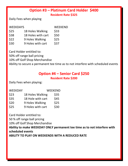### **Option #3 – Platinum Card Holder \$400 Resident Rate \$325**

Daily Fees when playing

| <b>WEEKDAYS</b> |                    | <b>WEEKEND</b> |
|-----------------|--------------------|----------------|
| \$25            | 18 Holes Walking   | \$33           |
| \$38            | 18 Holes with cart | \$50           |
| \$22            | 9 Holes Walking    | \$25           |
| \$30            | 9 Holes with cart  | \$37           |

Card Holder entitled to:

50% off range ball pricing

10% off Golf Shop Merchandise

Ability to secure a permanent tee time as to not interfere with scheduled events

## **Option #4 – Senior Card \$250 Resident Rate \$200**

Daily Fees when playing:

|                 | <b>WEEKEND</b>                                             |
|-----------------|------------------------------------------------------------|
|                 | \$35                                                       |
|                 | \$45                                                       |
| 9 Holes Walking | \$25                                                       |
|                 | \$30                                                       |
|                 | 18 Holes Walking<br>18 Hole with cart<br>9 Holes with cart |

Card Holder entitled to:

50 % off range ball pricing

10% off Golf Shop Merchandise

**Ability to make WEEKDAY ONLY permanent tee time as to not interfere with scheduled events**

**ABILITY TO PLAY ON WEEKENDS WITH A REDUCED RATE**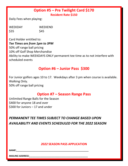# **Option #5 – Pre Twilight Card \$170**

**Resident Rate \$150**

Daily Fees when playing:

| <b>WEEKDAY</b> | <b>WEEKEND</b> |
|----------------|----------------|
| \$35           | \$45           |

Card Holder entitled to: *Tee Times are from 1pm to 3PM* 50% off range ball pricing 10% off Golf Shop Merchandise Ability to make WEEKDAYS ONLY permanent tee time as to not interfere with scheduled events

## **Option #6 – Junior Pass \$300**

For Junior golfers ages 10 to 17. Weekdays after 3 pm when course is available. Walking Only. 50% off range ball pricing

# **Option #7 – Season Range Pass**

Unlimited Range Balls for the Season \$400 for anyone 18 and over \$300 for Juniors – 17 and under

# *PERMANENT TEE TIMES SUBJECT TO CHANGE BASED UPON AVAILABILITY AND EVENTS SCHEDULED FOR THE 2022 SEASON*

### *2022* **SEASON PASS APPLICATION**

*NAME:\_\_\_\_\_\_\_\_\_\_\_\_\_\_\_\_\_\_\_\_\_\_\_\_\_\_\_\_\_\_\_\_\_\_\_\_\_\_\_\_\_\_\_\_\_\_\_\_\_\_\_\_\_\_\_\_\_\_*

*MAILING ADDRESS:\_\_\_\_\_\_\_\_\_\_\_\_\_\_\_\_\_\_\_\_\_\_\_\_\_\_\_\_\_\_\_\_\_\_\_\_\_\_\_\_\_\_\_\_\_\_\_*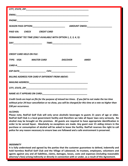| PAID VIA: CHECK CREDIT CARD                                    |  |  |  |  |  |
|----------------------------------------------------------------|--|--|--|--|--|
| PERMANENT TEE TIME (ONLY AVAILABLE WITH OPTION 1, 2, 3, 4, 5): |  |  |  |  |  |
|                                                                |  |  |  |  |  |
|                                                                |  |  |  |  |  |
| <b>CREDIT CARD HELD ON FILE:</b>                               |  |  |  |  |  |
| TYPE: VISA MASTER CARD DISCOVER AMEX                           |  |  |  |  |  |
| $CARD \#$ :                                                    |  |  |  |  |  |
|                                                                |  |  |  |  |  |
| <b>BILLING ADDRESS FOR CARD IF DIFFERENT FROM ABOVE:</b>       |  |  |  |  |  |
|                                                                |  |  |  |  |  |
|                                                                |  |  |  |  |  |
|                                                                |  |  |  |  |  |

*Credit Cards are kept on file for the purpose of missed tee times. If you fail to not make the tee time without prior 24 hour cancellation or no show, you will be charged for this time at a rate no higher than \$30 per occurrence.*

### *ALCOHOL*

**Please note, RedTail Golf Club will only serve alcoholic beverages to guests 21 years of age or older. RedTail Golf Club is a local government facility and therefore we take all liquor laws very seriously. No alcohol may be brought on the premises. All guests are required to have appropriate identification in order to be served liquor. Absolutely no exceptions are made. Any guest over 21 aiding minors in the purchase or consumption of alcohol will be asked to leave the facility. RedTail reserves the right to call police for any reason necessary to ensure laws are followed and a safe environment is preserved.** 

### *INDEMNITY*

**It is fully understood and agreed by the parties that the customer guarantees to defend, indemnify and hold harmless RedTail Golf Club and the Village of Lakewood, its trustees, employees, volunteers and agents against any and all liabilities, claims, damages, losses, costs and expenses (including reasonable attorney's fees) arising indirectly or directly in connection with or under, as a result of this Agreement.**